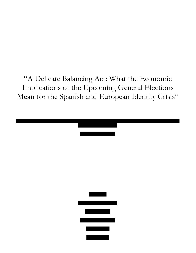"A Delicate Balancing Act: What the Economic Implications of the Upcoming General Elections Mean for the Spanish and European Identity Crisis"

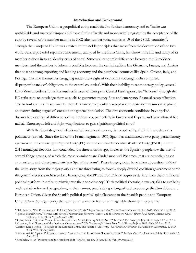#### **Introduction and Background**

The European Union, a geopolitical entity established to further democracy and to "make war unthinkable and materially impossible"<sup>1</sup> was further fiscally and monetarily integrated by the acceptance of the euro by several of its member nations in 2002 (the number today stands at 19 of the 28 EU countries)<sup>2</sup>. Though the European Union was created on the noble principles that arose from the devastation of the two world wars, a powerful separatist movement, catalyzed by the Euro Crisis, has thrown the EU and many of its member nations in to an identity crisis of sorts<sup>3</sup>. Structural economic differences between the Euro Zone members lend themselves to inherent conflicts between the central nations like Germany, France, and Austria that boast a strong exporting and lending economy and the peripheral countries like Spain, Greece, Italy, and Portugal that find themselves struggling under the weight of exorbitant sovereign debt comprised disproportionately of obligations to the central countries<sup>4</sup>. With their inability to set monetary policy, several Euro Zone members found themselves in need of European Central Bank-sponsored "bailouts" (though the EU refuses to acknowledge them as such) to guarantee money flow and emergency financial recapitalization. The bailout conditions set forth by the ECB forced recipients to accept severe austerity measures that placed an overwhelming degree of stress on the general population. The dire economic conditions have spelled disaster for a variety of different political institutions, particularly in Greece and Cyprus, and have allowed for radical, Eurosceptic left and right wing factions to gain significant political clout<sup>5</sup>.

With the Spanish general elections just two months away, the people of Spain find themselves at a political crossroads. Since the fall of the Franco regime in 1977, Spain has maintained a two-party parliamentary system with the center-right Popular Party (PP) and the center-left Socialist Workers' Party (PSOE). In the 2015 municipal elections that concluded just three months ago, however, the Spanish people saw the rise of several fringe groups, of which the most prominent are Ciudadanos and Podemos, that are campaigning on anti-austerity and other passionate pro-Spanish reforms<sup>6</sup>. These fringe groups have taken upwards of 35% of the votes away from the major parties and are threatening to force a deeply divided coalition government come the general elections in November. In response, the PP and PSOE have begun to deviate from their traditional political platform in order to reinvigorate their constituency<sup>7</sup>. Their political rhetoric, however, fails to explicitly outline their reformed perspectives, as they cannot, practically speaking, afford to estrange the Euro Zone and European Union. Given the Spanish political parties' split allegiance to the Spanish people and European Union/Euro Zone (an entity that cannot fall apart for fear of unimaginable short-term economic

 

<sup>&</sup>lt;sup>1</sup> Hall, Peter A. "The Economics and Politics of the Euro Crisis." Taylor Francis Online. Taylor Francis Online, 16 Nov. 2012. Web. 30 Aug. 2015.<br><sup>2</sup> Iglesias, Miguel Otero. "Beyond Orthodoxy: Understanding Money to Under

<sup>&</sup>lt;sup>3</sup> Taylor, Mark. "If Greeks Vote to Leave the Eurozone, Which Country Will Be Next?" *The Street*. The Street, 29 June 2015. Web. 30 Aug. 2015.<br><sup>4</sup> Krugman, Paul. "Revenge of the Optimum Currency Area." *The Conscience of* 

<sup>&</sup>lt;sup>6</sup>Kassam, Ashifa. "Spain's Politicians Distance Themselves from Euro Crisis: "This isn't Greece." *The Guardian*. The Guardian, 6 July 2015. Web. 30 Aug. 2015.

<sup>7</sup> Rendueles, Cesar. "Podemos and the Paradigm Shift." *Jacobin*. Jacobin, 13 Apr. 2015. Web. 30 Aug. 2015.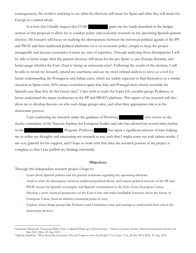consequences), the world is watching to see what the elections will mean for Spain and what they will mean for Europe as a united whole.

It is here that I kindly request that CUSE grant me the funds described in the budget section of this proposal to allow me to conduct policy and economic research on the upcoming Spanish general election. My research will focus on studying the discrepancies between the reformed political agenda of the PP and PSOE and their traditional political platforms vis-à-vis economic policy (simply to keep the project manageable and because economics is more my area of expertise). Through analyzing these discrepancies I will be able to better judge what the general elections will mean for the pro-Spain vs. pro-Europe dynamic, and better gauge whether the Euro Zone is facing an existential crisis<sup>8</sup>. Following the results of the election, I will be able to revisit my research, amend my assertions, and use my more refined analysis to serve as a tool for better understanding the Portuguese and Italian cases, which are widely expected to find themselves in a similar situation as Spain come 2016 (many economists agree that Italy and Portugal more closely resemble the Spanish case than they do the Greek case)<sup>9</sup>. I also wish to study the hyper left, socialist group, Podemos, to better understand the major weaknesses in the PP and PSOE's platform. This aspect of my research will also allow me to develop theories on why such fringe groups arise, and what their appropriate role is in the democratic process.

I am conducting my research under the guidance of Professor who serves on the faculty committee of the Nanovic Institue for European Studies and who has advised me several times before in the Program. Professor has spent a significant amount of time helping me to refine my thoughts and structuring my research in way such that I might come out with salient results. I am very grateful for his support, and I hope to work with him after the research portion of my project is complete so that I can publish my findings informally.

### **Objectives**

Through this independent research project I hope to:

 

- Learn about Spanish politics and the general sentiment regarding the upcoming elections.
- Analyze what the discrepancy between traditional political theory and current political rhetoric of the PP and PSOE means for Spanish sovereignty and Spanish commitment to the Euro Zone/European Union.
- Develop a more nuanced perspective of the Euro Crisis and make intelligible forecasts about the future of European Union, from an identity/existential point of view.
- Explore where fringe groups like Podemos and Ciudadanos arise and attempt to understand their role in the democratic process.

<sup>8</sup>Lachman, Desmond. "Eurozone Debt Crisis: A Spanish Wake-up Call for Europe." *American Enterprise Institue*. American Enterprise Institue, 26 May 2015. Web. 30 Aug. 2015. 9Yglesias, Matthew. "They Saved the Eurozone; The just Forgot to Save the People." *Vox Topics*. Vox, 28 May 2014. Web. 30 Aug. 2015.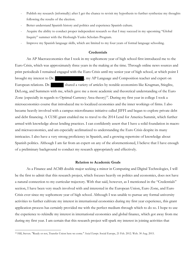- Publish my research (informally) after I get the chance to revisit my hypothesis to further synthesize my thoughts following the results of the election.
- Better understand Spanish history and politics and experience Spanish culture.
- Acquire the ability to conduct proper independent research so that I may succeed in my upcoming "Global Inquiry" summer with the Hesburgh-Yusko Scholars Program.
- Improve my Spanish language skills, which are limited to my four years of formal language schooling.

## **Credentials**

An AP Macroeconomics that I took in my sophomore year of high school first introduced me to the Euro Crisis, which was approximately three years in the making at the time. Through online news sources and print periodicals I remained engaged with the Euro Crisis until my senior year of high school, at which point I brought my interest to Dr.  $\qquad \qquad$ , my AP Language and Composition teacher and expert on European relations. Dr. shared a variety of articles by notable economists like Krugman, Stieglitz, DeLong, and Summers with me, which gave me a more academic and theoretical understanding of the Euro Zone (especially in regards to Optimal Currency Area theory)<sup>10</sup>. During my first year in college I took a microeconomics course that introduced me to localized economies and the inner workings of firms. I also became heavily involved with a campus microfinance initiative called JIFFI and began to explore private debt and debt financing. A CUSE grant enabled me to travel to the 2014 Lend for America Summit, which further armed with knowledge about lending practices. I can confidently assert that I have a solid foundation in macro and microeconomics, and am especially acclimatized to understanding the Euro Crisis despite its many intricacies. I also have a very strong proficiency in Spanish, and a growing repertoire of knowledge about Spanish politics. Although I am far from an expert on any of the aforementioned, I believe that I have enough of a preliminary background to conduct my research appropriately and effectively.

### **Relation to Academic Goals**

As a Finance and ACMS double major seeking a minor in Computing and Digital Technologies, I will be the first to admit that this research project, which focuses heavily on politics and economics, does not have a natural connection to my curricular trajectory. With that said, however, as I mentioned in the "Credentials" section, I have been very much involved with and interested in the European Union, Euro Zone, and Euro Crisis ever since my sophomore year of high school. Although I was unable to pursue any formal university activities to further cultivate my interest in international economics during my first year experience, this grant application process has certainly provided me with the perfect medium through which to do so. I hope to use the experience to rekindle my interest in international economics and global finance, which got away from me during my first year. I am certain that this research project will spark my interest in joining activities that

 

<sup>10</sup> Hill, Steven. "Ready or not, Transfer Union here we come." *Social Europe*. Social Europe, 21 Feb. 2012. Web. 30 Aug. 2015.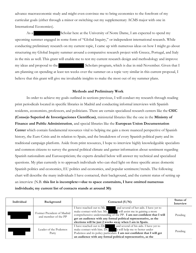advance macroeconomic study and might even convince me to bring economics to the forefront of my curricular goals (either through a minor or switching out my supplementary ACMS major with one in International Economics).

As a Scholar here at the University of Notre Dame, I am expected to spend my upcoming summer engaged in some form of "Global Inquiry," or independent international research. While conducting preliminary research on my current topic, I came up with numerous ideas on how I might go about structuring my Global Inquiry summer around a comparative research project with Greece, Portugal, and Italy in the mix as well. This grant will enable me to test my current research design and methodology and improve my ideas and proposal to the Scholars program, which is due in mid-November. Given that I am planning on spending at least ten weeks over the summer on a topic very similar in this current proposal, I believe that this grant will give me invaluable insights to make the most out of my summer plans.

### **Methods and Preliminary Work**

 In order to achieve my goals outlined in sections previous, I will conduct my research through reading print periodicals located in specific libraries in Madrid and conducting informal interviews with Spanish residents, economists, professors, and politicians. There are certain specialized research centers like the **CSIC (Consejo Superiod de Investigaciones Cientificas)**, ministerial libraries like the one in the **Ministry of Finance and Public Administration**, and special libraries like the **European Union Documentation Center** which contain fundamental resources vital to helping me gain a more nuanced perspective of Spanish history, the Euro Crisis and its relation to Spain, and the breakdown of every Spanish political party and its traditional campaign platform. Aside from print resources, I hope to interview highly knowledgeable specialists and common citizens to survey the general political climate and garner information about sentiment regarding Spanish nationalism and Euroscepticism; the experts detailed below will answer my technical and specialized questions. My plan currently is to approach individuals who can shed light on three specific areas: domestic Spanish politics and economics, EU politics and economics, and popular sentiment/trends. The following chart will describe the many individuals I have contacted, their background, and the current status of setting up an interview (N.B. **this list is incomplete—due to space constraints, I have omitted numerous individuals; my current list of contacts stands at around 30)**:

| Individual | Background                                         | Contacted $(Y/N)$                                                                                                                                                                                                                                                                                                                             | Status of<br>Interview |
|------------|----------------------------------------------------|-----------------------------------------------------------------------------------------------------------------------------------------------------------------------------------------------------------------------------------------------------------------------------------------------------------------------------------------------|------------------------|
|            | Former President of Madrid<br>and member of the PP | I have reached out to Ms.<br>and several of her aids. I have yet to<br>will assist me in gaining a more<br>make contact with her. Ms.<br>comprehensive understanding of the PP. I am not confident that I will<br>get an audience with any formal political representative, as the<br>elections will be just 2 weeks away when I am in Spain. | Pending                |
|            | Leader of the Podemos<br>Party                     | and several of his aids. I have yet to<br>I have reached out to Dr.<br>make contact with him. Dr. s will help me to better under<br>Podemos and its policy particulars. I am not confident that I will get<br>an audience with any formal political representative, as the                                                                    | Pending                |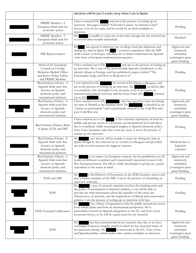|                                                                                                                             | elections will be just 2 weeks away when I am in Spain.                                                                                                                                                                                                                                                                                                                |                                                                                |
|-----------------------------------------------------------------------------------------------------------------------------|------------------------------------------------------------------------------------------------------------------------------------------------------------------------------------------------------------------------------------------------------------------------------------------------------------------------------------------------------------------------|--------------------------------------------------------------------------------|
| FRIDE Member-A<br>European think tank for<br>economic action                                                                | I have contacted Dr. and am in the process of setting up an<br>interview. His paper entitled "G20 after Cannes: An Identity Crisis"<br>focuses a lot on my topic, and he would be an ideal candidate to<br>interview.                                                                                                                                                  | Pending                                                                        |
| FRIDE Member-A<br>European think tank for<br>economic action                                                                | Dr.<br>is unable to assist me at this time, though she has referred me<br>to several other notable individuals.                                                                                                                                                                                                                                                        | Declined                                                                       |
| <b>IMF</b> Representative                                                                                                   | has agreed to interview me via Skype both pre-departure and<br>Dr.<br>during my time in Spain. Dr. Sextensive experience with the IMF<br>(with a focus on Europe) will allow me to better understand the Spanish<br>crisis from a European institutional perspective.                                                                                                  | Approved and<br>tentatively<br>scheduled<br>(contingent upon<br>grant funding) |
| Head of the European<br>Council on Foreign<br>Relations-Madrid Office<br>and Senior Policy Fellow<br>and FRIDE Member       | I have reached out to Dr.<br>and am in the process of setting up<br>an interview. He is one of the most notable Spanish contributors to the<br>identity debate in Europe, and has published a paper entitled "The<br>Eurosceptic Surge and How to Respond to it"                                                                                                       | Pending                                                                        |
| Real Instituto Elcano-A<br>Spanish think tank that<br>focuses on Spanish<br>domestic policy and<br>international relations. | I was referred to Dr. by several of his Elcano colleagues, and<br>am in the process of setting up an interview. Dr.<br>would be able<br>to contribute a lot of insights to my research, as he is an expert on<br>international political economy and the Euro Crisis (Dr.<br>referred<br>an an an S<br>me to Dr.<br>).                                                 | Pending                                                                        |
| Real Instituo Elcano-A<br>Spanish think tank that<br>focuses on Spanish<br>domestic policy and<br>international relations.  | I have reached out to Dr.<br>, who has agreed to meet me during<br>my time in Madrid at the Institute itself. Dr.<br>is classified as an<br>"expert on nationalism" and is particularly attuned to the Cold War and<br>post-Cold War eras.                                                                                                                             | Approved and<br>tentatively<br>scheduled<br>(contingent upon<br>grant funding) |
| Real Instituto Elcano, Bank<br>of Spain, ECB, and IMF                                                                       | I have reached out to Dr.<br>as her extensive experience in both the<br>public and private sector at a domestic and international level will allow<br>her to contribute vitally meaningful insights to Spanish domestic policy,<br>Euro Zone dynamics, and other such key areas. I am in the process of<br>setting up the interview.                                   | Pending                                                                        |
| Real Instiuto Elcano-A<br>Spanish think tank that<br>focuses on Spanish<br>domestic policy and<br>international relations   | says that he will be unable to meet me during my time in<br>Dr.<br>Spain, though he has referred me to several of colleagues and provided<br>me with several resources he suggests I peruse.                                                                                                                                                                           | Declined due to<br>logistical<br>concerns                                      |
| Real Instituto Elcano-A<br>Spanish think tank that<br>focuses on Spanish<br>domestic policy and<br>international relations  | Dr.<br>is an expert on European relations (he has published over 20<br>books on different countries) and is particularly interested in post-Cold<br>War European history. He will be vitally meaningful in giving me a good<br>exposition of the issues at hand.                                                                                                       | Approved and<br>tentatively<br>scheduled<br>(contingent upon<br>grant funding) |
| IESE and IMF                                                                                                                | is the Director of Economics at the IESE business school and<br>Dr.<br>also a former member of the IMF. I am in the process of scheduling an<br>interview with him.                                                                                                                                                                                                    | Pending                                                                        |
| <b>IESE</b>                                                                                                                 | 's area of research expertise involves the banking crisis and<br>Dr.<br>the policy of information in financial markets, so he will be able to<br>provide me with information about the specifics of the crisis, the<br>effectiveness of austerity, and the implications of liberal and conservative<br>policies. I am the process of setting up an interview with him. | Pending                                                                        |
| IESE-External Collaborator                                                                                                  | has a litany of experiences with the public and private sector<br>Dr.<br>both within Spain and from an international perspective. He is<br>particularly focused on Spanish integration to the EU and Euro Zone<br>economic theory, so he will be a great asset for my research.                                                                                        | Pending                                                                        |
| <b>IESE</b>                                                                                                                 | Dr.<br>has been instrumental in my research, thus far, as we have<br>exchanged numerous lengthy emails in which he has answered many of<br>my questions already. Dr. is interested in the EU, Euro Zone,<br>and Spanish politics, which makes him a prime candidate to interview.                                                                                      | Approved and<br>tentatively<br>scheduled<br>(contingent upon<br>grant funding) |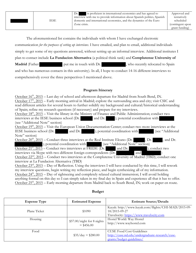The aforementioned list contains the individuals with whom I have exchanged electronic communication *for the purposes of setting up interviews*. I have emailed, and plan to email, additional individuals simply to get some of my questions answered, without setting up an informal interview. Additional institutes I plan to contact include **La Fundacion Alternativa** (a political think tank) and **Complutense University of Madrid** (Father put me in touch with Dr. , who recently relocated to Spain and who has numerous contacts in this university). In all, I hope to conduct 14-16 different interviews to comprehensively cover the three perspectives I mentioned above.

# **Program Itinerary**

October 16<sup>th</sup>, 2015 – Last day of school and afternoon departure for Madrid from South Bend, IN. October 17<sup>th</sup>, 2015 – Early morning arrival in Madrid; explore the surrounding area and city; visit CSIC and read different articles for several hours to further solidify my background and cultural/historical understanding of Spain; refine my research questions (if necessary) and prepare for my interviews.

October 18<sup>th</sup>, 2015 – Visit the library in the Ministry of Finance and Public Administration; conduct two interviews at the IESE business school (Dr. and Dr. ); potential coordination with (see "Additional Note" section)

October  $19<sup>th</sup>$ , 2015 – Visit the European Union Documentation Center; conduct two more interviews at the IESE business school (Dr. and Dr. ); potential coordination with (see "Additional Note" section)

October  $20^{\text{th}}$ ,  $2015$  – Conduct three interviews at the Real Institute Elcano (Dr.  $\blacksquare$ , Dr. , and Dr. ); potential coordination with (see "Additional Note" section)

October  $21^{st}$ ,  $2015$  – Conduct two interviews at  $\overline{\text{FRIDE (Dr.)}}$  and Dr.  $\qquad$  ); conduct two interviews via Skype with two different foreign correspondents  $(Dr)$  and

October 22<sup>nd</sup>, 2015 – Conduct two interviews at the Complutense University of Madrid (TBD); conduct one interview at La Fundacion Alternativa (TBD)

October 23rd, 2015 – Day of Reflection. Using the interviews I will have conducted by this time, I will rework my interview questions, begin writing my reflection piece, and begin synthesizing all of my information. October  $24^{\text{th}}$ ,  $2015 -$  Day of sightseeing and completely relaxed cultural immersion; I will avoid holding anything formal on this day so I can simply taken in my final day in Spain and experience all that it has to offer. October 25<sup>th</sup>, 2015 – Early morning departure from Madrid back to South Bend, IN; work on paper en route.

| <b>Expense Type</b> | <b>Estimated Expense</b>                   | <b>Estimate Source/Details</b>                                                                                    |
|---------------------|--------------------------------------------|-------------------------------------------------------------------------------------------------------------------|
| Plane Ticket        | \$1090                                     | Kayak: http://www.kayak.com/flights/CHI-MAD/2015-09-<br>18/2015-09-27<br>Travelocity: https://www.travelocity.com |
| Housing             | \$57.00/night for 8 nights<br>$=$ \$456.00 | Hostel World: Way Hostel<br>http://www.wayhostel.com                                                              |
| Food                | $$35/day = $280.00$                        | <b>CUSE Food Cost Guidelines</b><br>http://cuse.nd.edu/undergraduate-research/cuse-<br>grants/budget-guidelines/  |

# **Budget**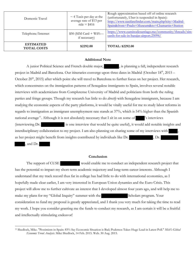| Domestic Travel                        | $\sim$ 4 Taxis per day at the<br>average rate of \$13 per<br>ride = $$416$ | Rough approximation based off of online research<br>(unfortunately, Uber is suspended in Spain):<br>http://www.taxifarefinder.com/main.php?city=Madrid-<br>Spain&from=Prado+Museum&to=Chamartin+Station |
|----------------------------------------|----------------------------------------------------------------------------|---------------------------------------------------------------------------------------------------------------------------------------------------------------------------------------------------------|
| Telephone/Internet                     | $$50$ (SIM Card + WiFi-<br>if necessary)                                   | https://www.caminodesantiago.me/community/threads/sim-<br>cards-for-sale-in-barajas-airport.25094/                                                                                                      |
| <b>ESTIMATED</b><br><b>TOTAL COSTS</b> | \$2292.00                                                                  | <b>TOTAL: \$2292.00</b>                                                                                                                                                                                 |

## **Additional Note**

A junior Political Science and French double major,  $\qquad \qquad$ , is planning a fall, independent research project in Madrid and Barcelona. Our itineraries converge upon three dates in Madrid (October  $18<sup>th</sup>$ , 2015 – October  $20<sup>th</sup>$ , 2015) after which point she will travel to Barcelona to further focus on her project. Her research, which concentrates on the immigration patterns of Senegalese immigrants to Spain, involves several notable interviews with academicians from Complutense University of Madrid and politicians from both the ruling parties and fringe groups. Though my research has little to do *directly* with Senegalese immigrants, because I am studying the economic aspects of the party platforms, it would be vitally useful for me to study labor reforms in regards to immigration as immigrant unemployment rate stands at 37%, which is 54% higher than the Spanish national average<sup>11</sup>. Although it is not absolutely necessary that I sit in on some of  $\cdot$  's interviews (interviewing Dr. is one interview that would be quite useful), it would add notable insights and interdisciplinary collaboration to my project. I am also planning on sharing some of my interviews with , as her project might benefit from insights contributed by individuals like Dr.  $\rho r$ .

, and Dr.

 

### **Conclusion**

The support of CUSE would enable me to conduct an independent research project that has the potential to impact my short-term academic trajectory and long-term career interests. Although I understand that my track record thus far in college has had little to do with international economics, as I hopefully made clear earlier, I am very interested in European Union dynamics and the Euro Crisis. This project will allow me to further cultivate an interest that I developed almost four years ago, and will help me to make my plans for my "Global Inquiry" summer with the Scholars program. Your consideration to fund my proposal is greatly appreciated, and I thank you very much for taking the time to read my work. I hope you consider granting me the funds to conduct my research, as I am certain it will be a fruitful and intellectually stimulating endeavor!

<sup>11</sup> Shedlock, Mike. "Pessimism in Spain: 83% Say Economic Situation is Bad; Podemos Takes Huge Lead in Latest Poll." *Mish's Global Economic Trend Analysis*. Mike Shedlock, 14 Feb. 2015. Web. 30 Aug. 2015.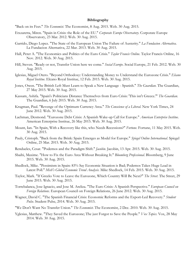#### **Bibliography**

"Back on its Feet." *The Economist*. The Economist, 8 Aug. 2015. Web. 30 Aug. 2015.

- Etxzaretta, Miren. "Spain in Crisis: the Role of the EU." *Corporate Europe Observatory*. Corporate Europe Observatory, 23 Mar. 2012. Web. 30 Aug. 2015.
- Garrido, Diego Lopez. "The State of the European Union The Failure of Austerity." *La Fundacion Alternativa*. La Fundacion Alternativa, 22 Mar. 2013. Web. 30 Aug. 2015.
- Hall, Peter A. "The Economics and Politics of the Euro Crisis." *Taylor Francis Online*. Taylor Francis Online, 16 Nov. 2012. Web. 30 Aug. 2015.
- Hill, Steven. "Ready or not, Transfer Union here we come." *Social Europe*. Social Europe, 21 Feb. 2012. Web. 30 Aug. 2015.
- Iglesias, Miguel Otero. "Beyond Orthodoxy: Understanding Money to Understand the Eurozone Crisis." *Elcano Royal Institue*. Elcano Royal Institue, 12 Feb. 2015. Web. 30 Aug. 2015.
- Jones, Owen. "The British Left Must Learn to Speak a New Language Spanish." *The Guardian*. The Guardian, 27 May 2015. Web. 30 Aug. 2015.
- Kassam, Ashifa. "Spain's Politicians Distance Themselves from Euro Crisis: 'This isn't Greece.'" *The Guardian*. The Guardian, 6 July 2015. Web. 30 Aug. 2015.
- Krugman, Paul. "Revenge of the Optimum Currency Area." *The Conscience of a Liberal*. New York Times, 24 June 2012. Web. 30 Aug. 2015.
- Lachman, Desmond. "Eurozone Debt Crisis: A Spanish Wake-up Call for Europe." *American Enterprise Institue*. American Enterprise Institue, 26 May 2015. Web. 30 Aug. 2015.
- Mount, Ian. "In Spain, With a Recovery like this, who Needs Recessions?" *Fortune*. Fortune, 11 May 2015. Web. 30 Aug. 2015.
- Pauly, Cristoph. "Back from the Brink: Spain Emerges as Model for Europe." *Spiegel Online International*. Spiegel Online, 25 Mar. 2015. Web. 30 Aug. 2015.
- Rendueles, Cesar. "Podemos and the Paradigm Shift." *Jacobin*. Jacobin, 13 Apr. 2015. Web. 30 Aug. 2015.
- Sbaihi, Maxime. "How to Fix the Euro Area Without Breaking It." *Bloomberg Professional*. Bloomberg, 9 June 2015. Web. 30 Aug. 2015.
- Shedlock, Mike. "Pessimism in Spain: 83% Say Economic Situation is Bad; Podemos Takes Huge Lead in Latest Poll." *Mish's Global Economic Trend Analysis*. Mike Shedlock, 14 Feb. 2015. Web. 30 Aug. 2015.
- Taylor, Mark. "If Greeks Vote to Leave the Eurozone, Which Country Will Be Next?" *The Street*. The Street, 29 June 2015. Web. 30 Aug. 2015.
- Torrebalanca, Jose Ignacio, and Jose M. Areliza. "The Euro Crisis: A Spanish Perspective." *European Council on Foreign Relations*. European Council on Foreign Relations, 26 June 2012. Web. 30 Aug. 2015.
- Wagner, David C. "The Spanish Financial Crisis: Economic Reforms and the Export-Led Recovery." *Student Pulse*. Student Pulse, 2014. Web. 30 Aug. 2015.
- "We Don't Want No Transfer Union." *The Economist*. The Economist, 2 Dec. 2010. Web. 30 Aug. 2015.
- Yglesias, Matthew. "They Saved the Eurozone; The just Forgot to Save the People." *Vox Topics*. Vox, 28 May 2014. Web. 30 Aug. 2015.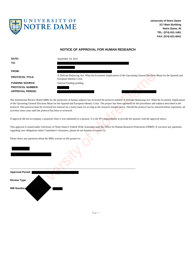

**University of Notre Dame 317 Main Building Notre Dame, IN TEL: (574) 631-1461 FAX: (574) 631-8441**

### **NOTICE OF APPROVAL FOR HUMAN RESEARCH**

| DATE:                                                                   | September 18, 2015                                                                                                                                                                                                                                                                                                                                                                                                                                                                                                         |
|-------------------------------------------------------------------------|----------------------------------------------------------------------------------------------------------------------------------------------------------------------------------------------------------------------------------------------------------------------------------------------------------------------------------------------------------------------------------------------------------------------------------------------------------------------------------------------------------------------------|
| TO:                                                                     |                                                                                                                                                                                                                                                                                                                                                                                                                                                                                                                            |
| FROM:                                                                   |                                                                                                                                                                                                                                                                                                                                                                                                                                                                                                                            |
| <b>PROTOCOL TITLE:</b>                                                  | A Delicate Balancing Act: What the Economic Implications of the Upcoming General Elections Mean for the Spanish and<br>European Identity Crisis                                                                                                                                                                                                                                                                                                                                                                            |
| <b>FUNDING SOURCE:</b><br><b>PROTOCOL NUMBER:</b>                       | Internal Funding pending                                                                                                                                                                                                                                                                                                                                                                                                                                                                                                   |
| <b>APPROVAL PERIOD:</b>                                                 |                                                                                                                                                                                                                                                                                                                                                                                                                                                                                                                            |
| activities must cease until the protocol has been re-reviewed.          | The Institutional Review Board (IRB) for the protection of human subjects has reviewed the protocol entitled: A Delicate Balancing Act: What the Economic Implication<br>of the Upcoming General Elections Mean for the Spanish and European Identity Crisis. The project has been approved for the procedures and subjects described in the<br>protocol. This protocol must be reviewed for renewal on a yearly basis for as long as the research remains active. Should the protocol not be renewed before expiration, a |
|                                                                         | If approval did not accompany a proposal when it was submitted to a sponsor, it is the PI's responsibility to provide the sponsor with the approval notice.                                                                                                                                                                                                                                                                                                                                                                |
|                                                                         | This approval is issued under University of Notre Dame's Federal Wide Assurance with the Office for Human Research Protections (OHRP). If you have any questions<br>regarding your obligations under Committee's Assurance, please do not hesitate to contact us.                                                                                                                                                                                                                                                          |
| Please direct any questions about the IRB's actions on this project to: |                                                                                                                                                                                                                                                                                                                                                                                                                                                                                                                            |
|                                                                         |                                                                                                                                                                                                                                                                                                                                                                                                                                                                                                                            |
| <b>Approval Period:</b>                                                 |                                                                                                                                                                                                                                                                                                                                                                                                                                                                                                                            |
| <b>Review Type:</b>                                                     |                                                                                                                                                                                                                                                                                                                                                                                                                                                                                                                            |



Page: 1